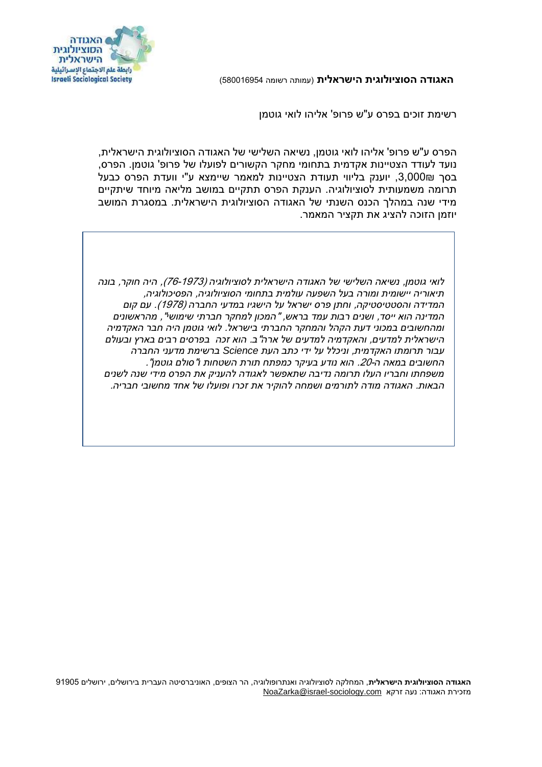

רשימת זוכים בפרס ע"ש פרופ' אליהו לואי גוטמן

הפרס ע"ש פרופ' אליהו לואי גוטמן, נשיאה השלישי של האגודה הסוציולוגית הישראלית, נועד לעודד הצטיינות אקדמית בתחומי מחקר הקשורים לפועלו של פרופ' גוטמן. הפרס, בסך ש3,000, יוענק בליווי תעודת הצטיינות למאמר שיימצא ע"י וועדת הפרס כבעל תרומה משמעותית לסוציולוגיה. הענקת הפרס תתקיים במושב מליאה מיוחד שיתקיים מידי שנה במהלך הכנס השנתי של האגודה הסוציולוגית הישראלית. במסגרת המושב יוזמן הזוכה להציג את תקציר המאמר.

*לואי גוטמן* , *נשיאה השלישי של האגודה הישראלית לסוציולוגיה* )76-1973(, *היה חוקר*, *בונה תיאוריה יישומית ומורה בעל השפעה עולמית בתחומי הסוציולוגיה*, *הפסיכולוגיה*, *המדידה והסטטיסטיקה* , *וחתן פרס ישראל על הישגיו במדעי החברה* )1978(. *עם קום המדינה הוא ייסד* , *ושנים רבות עמד בראש* , "*המכון למחקר חברתי שימושי* ", *מהראשונים ומהחשובים במכוני דעת הקהל והמחקר החברתי בישראל*. *לואי גוטמן היה חבר האקדמיה הישראלית למדעים*, *והאקדמיה למדעים של ארה*"*ב* . *הוא זכה בפרסים רבים בארץ ובעולם עבור תרומתו האקדמית* , *וניכלל על ידי כתב העת Science ברשימת מדעני החברה החשובים במאה ה*.20- *הוא נודע בעיקר כמפתח תורת השטחות ו* "*סולם גוטמן*". *משפחתו וחבריו העלו תרומה נדיבה שתאפשר לאגודה להעניק את הפרס מידי שנה לשנים הבאות* . *האגודה מודה לתורמים ושמחה להוקיר את זכרו ופועלו של אחד מחשובי חבריה*.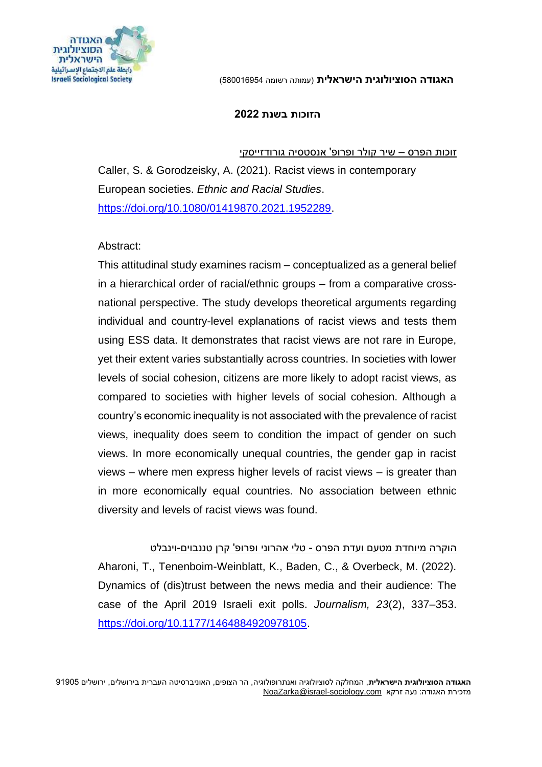

## **הזוכות בשנת 2022**

זוכות הפרס – שיר קולר ופרופ' אנסטסיה גורודזייסקי

Caller, S. & Gorodzeisky, A. (2021). Racist views in contemporary European societies. *Ethnic and Racial Studies*. [https://doi.org/10.1080/01419870.2021.1952289.](https://doi.org/10.1080/01419870.2021.1952289)

## Abstract:

This attitudinal study examines racism – conceptualized as a general belief in a hierarchical order of racial/ethnic groups – from a comparative crossnational perspective. The study develops theoretical arguments regarding individual and country-level explanations of racist views and tests them using ESS data. It demonstrates that racist views are not rare in Europe, yet their extent varies substantially across countries. In societies with lower levels of social cohesion, citizens are more likely to adopt racist views, as compared to societies with higher levels of social cohesion. Although a country's economic inequality is not associated with the prevalence of racist views, inequality does seem to condition the impact of gender on such views. In more economically unequal countries, the gender gap in racist views – where men express higher levels of racist views – is greater than in more economically equal countries. No association between ethnic diversity and levels of racist views was found.

## הוקרה מיוחדת מטעם ועדת הפרס - טלי אהרוני ופרופ' קרן טננבוים-וינבלט

Aharoni, T., Tenenboim-Weinblatt, K., Baden, C., & Overbeck, M. (2022). Dynamics of (dis)trust between the news media and their audience: The case of the April 2019 Israeli exit polls. *Journalism, 23*(2), 337–353. [https://doi.org/10.1177/1464884920978105.](https://doi.org/10.1177/1464884920978105)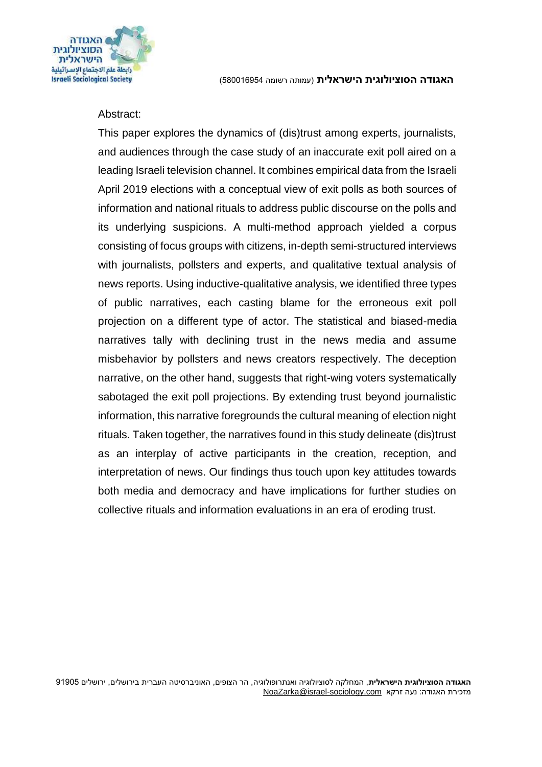

### Abstract:

This paper explores the dynamics of (dis)trust among experts, journalists, and audiences through the case study of an inaccurate exit poll aired on a leading Israeli television channel. It combines empirical data from the Israeli April 2019 elections with a conceptual view of exit polls as both sources of information and national rituals to address public discourse on the polls and its underlying suspicions. A multi-method approach yielded a corpus consisting of focus groups with citizens, in-depth semi-structured interviews with journalists, pollsters and experts, and qualitative textual analysis of news reports. Using inductive-qualitative analysis, we identified three types of public narratives, each casting blame for the erroneous exit poll projection on a different type of actor. The statistical and biased-media narratives tally with declining trust in the news media and assume misbehavior by pollsters and news creators respectively. The deception narrative, on the other hand, suggests that right-wing voters systematically sabotaged the exit poll projections. By extending trust beyond journalistic information, this narrative foregrounds the cultural meaning of election night rituals. Taken together, the narratives found in this study delineate (dis)trust as an interplay of active participants in the creation, reception, and interpretation of news. Our findings thus touch upon key attitudes towards both media and democracy and have implications for further studies on collective rituals and information evaluations in an era of eroding trust.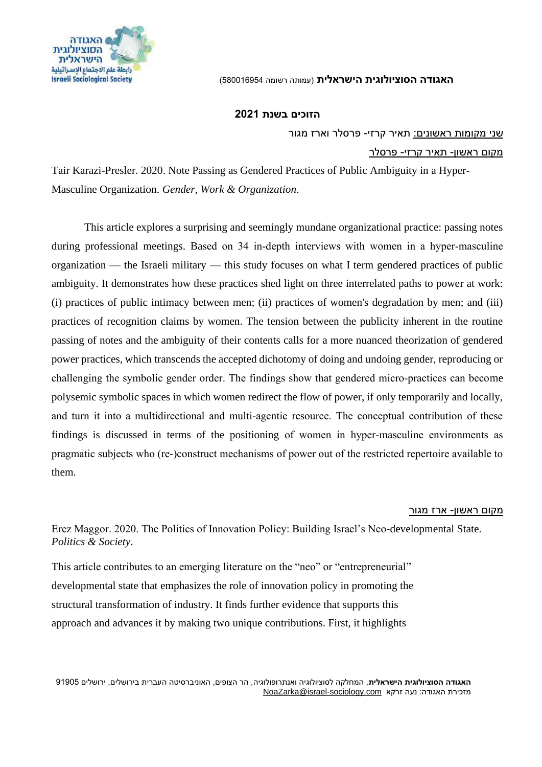

### **הזוכים בשנת 2021**

שני מקומות ראשונים: תאיר קרזי- פרסלר וארז מגור מקום ראשון- תאיר קרזי- פרסלר

Tair Karazi-Presler. 2020. Note Passing as Gendered Practices of Public Ambiguity in a Hyper-Masculine Organization. *Gender, Work & Organization*.

This article explores a surprising and seemingly mundane organizational practice: passing notes during professional meetings. Based on 34 in-depth interviews with women in a hyper-masculine organization — the Israeli military — this study focuses on what I term gendered practices of public ambiguity. It demonstrates how these practices shed light on three interrelated paths to power at work: (i) practices of public intimacy between men; (ii) practices of women's degradation by men; and (iii) practices of recognition claims by women. The tension between the publicity inherent in the routine passing of notes and the ambiguity of their contents calls for a more nuanced theorization of gendered power practices, which transcends the accepted dichotomy of doing and undoing gender, reproducing or challenging the symbolic gender order. The findings show that gendered micro‐practices can become polysemic symbolic spaces in which women redirect the flow of power, if only temporarily and locally, and turn it into a multidirectional and multi-agentic resource. The conceptual contribution of these findings is discussed in terms of the positioning of women in hyper-masculine environments as pragmatic subjects who (re‐)construct mechanisms of power out of the restricted repertoire available to them.

#### מקום ראשון- ארז מגור

Erez Maggor. 2020. The Politics of Innovation Policy: Building Israel's Neo-developmental State. *Politics & Society*.

This article contributes to an emerging literature on the "neo" or "entrepreneurial" developmental state that emphasizes the role of innovation policy in promoting the structural transformation of industry. It finds further evidence that supports this approach and advances it by making two unique contributions. First, it highlights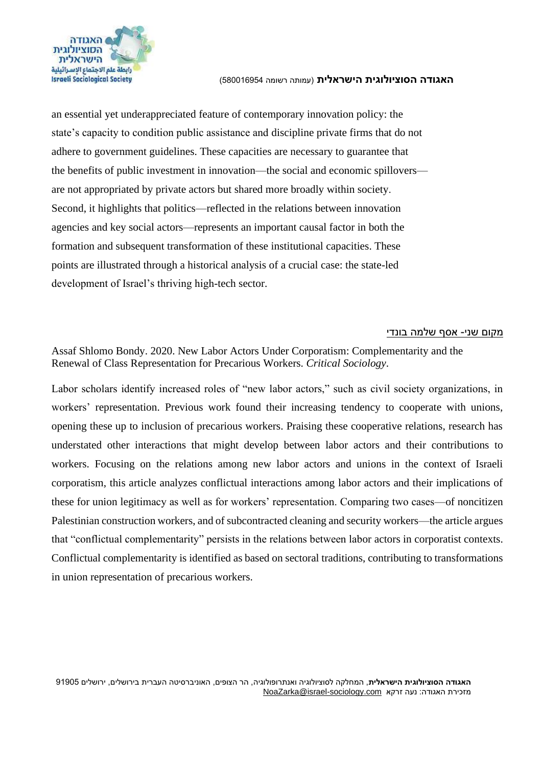

an essential yet underappreciated feature of contemporary innovation policy: the state's capacity to condition public assistance and discipline private firms that do not adhere to government guidelines. These capacities are necessary to guarantee that the benefits of public investment in innovation—the social and economic spillovers are not appropriated by private actors but shared more broadly within society. Second, it highlights that politics—reflected in the relations between innovation agencies and key social actors—represents an important causal factor in both the formation and subsequent transformation of these institutional capacities. These points are illustrated through a historical analysis of a crucial case: the state-led development of Israel's thriving high-tech sector.

#### מקום שני- אסף שלמה בונדי

Assaf Shlomo Bondy. 2020. New Labor Actors Under Corporatism: Complementarity and the Renewal of Class Representation for Precarious Workers. *Critical Sociology*.

Labor scholars identify increased roles of "new labor actors," such as civil society organizations, in workers' representation. Previous work found their increasing tendency to cooperate with unions, opening these up to inclusion of precarious workers. Praising these cooperative relations, research has understated other interactions that might develop between labor actors and their contributions to workers. Focusing on the relations among new labor actors and unions in the context of Israeli corporatism, this article analyzes conflictual interactions among labor actors and their implications of these for union legitimacy as well as for workers' representation. Comparing two cases—of noncitizen Palestinian construction workers, and of subcontracted cleaning and security workers—the article argues that "conflictual complementarity" persists in the relations between labor actors in corporatist contexts. Conflictual complementarity is identified as based on sectoral traditions, contributing to transformations in union representation of precarious workers.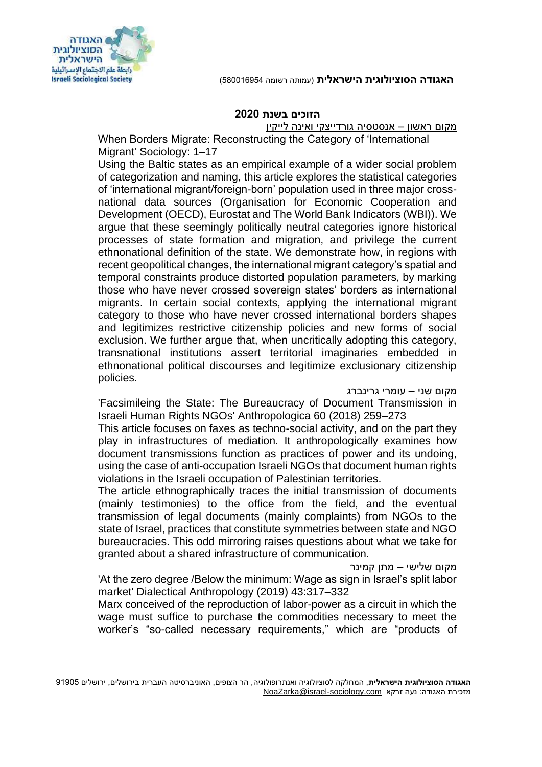

### **הזוכים בשנת 2020**

מקום ראשון – אנסטסיה גורדייצקי ואינה לייקין

When Borders Migrate: Reconstructing the Category of 'International Migrant' Sociology: 1–17

Using the Baltic states as an empirical example of a wider social problem of categorization and naming, this article explores the statistical categories of 'international migrant/foreign-born' population used in three major crossnational data sources (Organisation for Economic Cooperation and Development (OECD), Eurostat and The World Bank Indicators (WBI)). We argue that these seemingly politically neutral categories ignore historical processes of state formation and migration, and privilege the current ethnonational definition of the state. We demonstrate how, in regions with recent geopolitical changes, the international migrant category's spatial and temporal constraints produce distorted population parameters, by marking those who have never crossed sovereign states' borders as international migrants. In certain social contexts, applying the international migrant category to those who have never crossed international borders shapes and legitimizes restrictive citizenship policies and new forms of social exclusion. We further argue that, when uncritically adopting this category, transnational institutions assert territorial imaginaries embedded in ethnonational political discourses and legitimize exclusionary citizenship policies.

מקום שני – עומרי גרינברג

'Facsimileing the State: The Bureaucracy of Document Transmission in Israeli Human Rights NGOs' Anthropologica 60 (2018) 259–273

This article focuses on faxes as techno-social activity, and on the part they play in infrastructures of mediation. It anthropologically examines how document transmissions function as practices of power and its undoing, using the case of anti-occupation Israeli NGOs that document human rights violations in the Israeli occupation of Palestinian territories.

The article ethnographically traces the initial transmission of documents (mainly testimonies) to the office from the field, and the eventual transmission of legal documents (mainly complaints) from NGOs to the state of Israel, practices that constitute symmetries between state and NGO bureaucracies. This odd mirroring raises questions about what we take for granted about a shared infrastructure of communication.

### מקום שלישי – מתן קמינר

'At the zero degree /Below the minimum: Wage as sign in Israel's split labor market' Dialectical Anthropology (2019) 43:317–332

Marx conceived of the reproduction of labor-power as a circuit in which the wage must suffice to purchase the commodities necessary to meet the worker's "so-called necessary requirements," which are "products of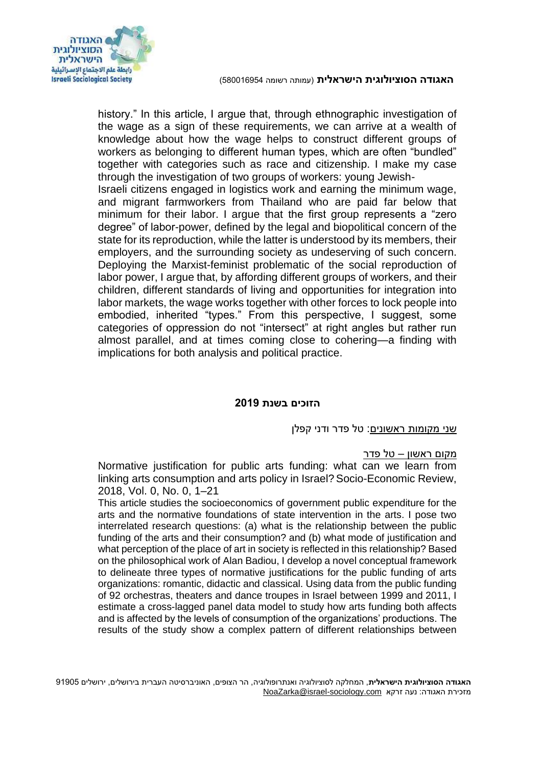

history." In this article, I argue that, through ethnographic investigation of the wage as a sign of these requirements, we can arrive at a wealth of knowledge about how the wage helps to construct different groups of workers as belonging to different human types, which are often "bundled" together with categories such as race and citizenship. I make my case through the investigation of two groups of workers: young Jewish-

Israeli citizens engaged in logistics work and earning the minimum wage, and migrant farmworkers from Thailand who are paid far below that minimum for their labor. I argue that the first group represents a "zero degree" of labor-power, defined by the legal and biopolitical concern of the state for its reproduction, while the latter is understood by its members, their employers, and the surrounding society as undeserving of such concern. Deploying the Marxist-feminist problematic of the social reproduction of labor power, I argue that, by affording different groups of workers, and their children, different standards of living and opportunities for integration into labor markets, the wage works together with other forces to lock people into embodied, inherited "types." From this perspective, I suggest, some categories of oppression do not "intersect" at right angles but rather run almost parallel, and at times coming close to cohering—a finding with implications for both analysis and political practice.

# **הזוכים בשנת 2019**

## שני מקומות ראשונים: טל פדר ודני קפלן

### מקום ראשון – טל פדר

Normative justification for public arts funding: what can we learn from linking arts consumption and arts policy in Israel? Socio-Economic Review, 2018, Vol. 0, No. 0, 1–21

This article studies the socioeconomics of government public expenditure for the arts and the normative foundations of state intervention in the arts. I pose two interrelated research questions: (a) what is the relationship between the public funding of the arts and their consumption? and (b) what mode of justification and what perception of the place of art in society is reflected in this relationship? Based on the philosophical work of Alan Badiou, I develop a novel conceptual framework to delineate three types of normative justifications for the public funding of arts organizations: romantic, didactic and classical. Using data from the public funding of 92 orchestras, theaters and dance troupes in Israel between 1999 and 2011, I estimate a cross-lagged panel data model to study how arts funding both affects and is affected by the levels of consumption of the organizations' productions. The results of the study show a complex pattern of different relationships between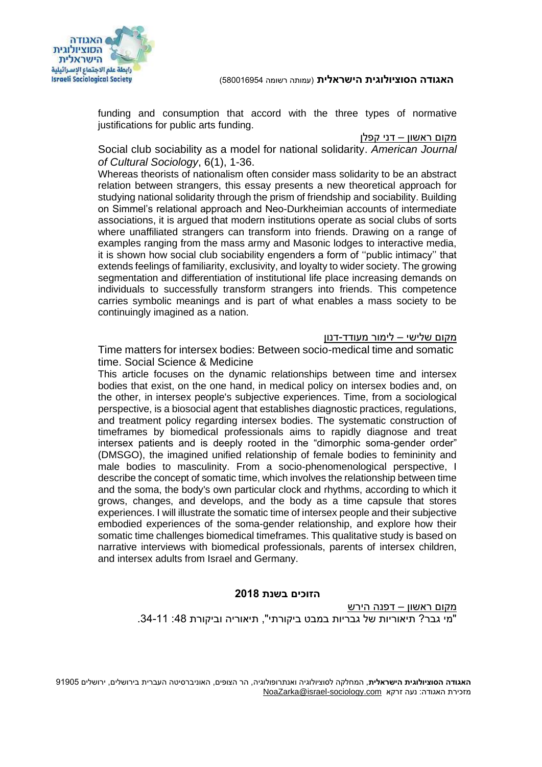

funding and consumption that accord with the three types of normative justifications for public arts funding.

### מקום ראשון – דני קפלן

Social club sociability as a model for national solidarity. *American [Journal](https://link.springer.com/journal/41290)  [of Cultural Sociology](https://link.springer.com/journal/41290)*, 6(1), 1-36.

Whereas theorists of nationalism often consider mass solidarity to be an abstract relation between strangers, this essay presents a new theoretical approach for studying national solidarity through the prism of friendship and sociability. Building on Simmel's relational approach and Neo-Durkheimian accounts of intermediate associations, it is argued that modern institutions operate as social clubs of sorts where unaffiliated strangers can transform into friends. Drawing on a range of examples ranging from the mass army and Masonic lodges to interactive media, it is shown how social club sociability engenders a form of ''public intimacy'' that extends feelings of familiarity, exclusivity, and loyalty to wider society. The growing segmentation and differentiation of institutional life place increasing demands on individuals to successfully transform strangers into friends. This competence carries symbolic meanings and is part of what enables a mass society to be continuingly imagined as a nation.

### מקום שלישי – לימור מעודד-דנון

Time matters for intersex bodies: Between socio-medical time and somatic time. Social Science & Medicine

This article focuses on the dynamic relationships between time and intersex bodies that exist, on the one hand, in medical policy on intersex bodies and, on the other, in intersex people's subjective experiences. Time, from a sociological perspective, is a biosocial agent that establishes diagnostic practices, regulations, and treatment policy regarding intersex bodies. The systematic construction of timeframes by biomedical professionals aims to rapidly diagnose and treat intersex patients and is deeply rooted in the "dimorphic soma-gender order" (DMSGO), the imagined unified relationship of female bodies to femininity and male bodies to masculinity. From a socio-phenomenological perspective, I describe the concept of somatic time, which involves the relationship between time and the soma, the body's own particular clock and rhythms, according to which it grows, changes, and develops, and the body as a time capsule that stores experiences. I will illustrate the somatic time of intersex people and their subjective embodied experiences of the soma-gender relationship, and explore how their somatic time challenges biomedical timeframes. This qualitative study is based on narrative interviews with biomedical professionals, parents of intersex children, and intersex adults from Israel and Germany.

### **הזוכים בשנת 2018**

מקום ראשון – דפנה הירש "מי גבר? תיאוריות של גבריות במבט ביקורתי", תיאוריה וביקורת :48 .34-11

**האגודה הסוציולוגית הישראלית**, המחלקה לסוציולוגיה ואנתרופולוגיה, הר הצופים, האוניברסיטה העברית בירושלים, ירושלים 91905 מזכירת האגודה: נעה זרקא NoaZarka@israel-sociology.com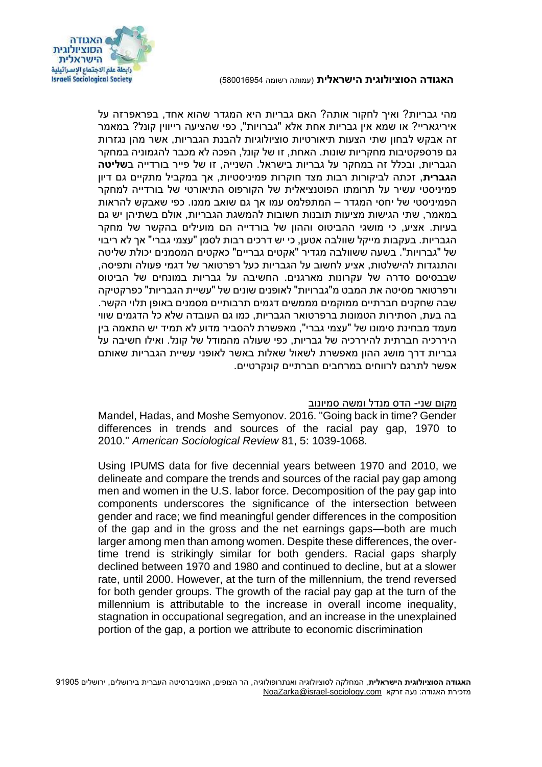

מהי גבריות? ואיך לחקור אותה? האם גבריות היא המגדר שהוא אחד, בפראפרזה על איריגאריי? או שמא אין גבריות אחת אלא "גברויות", כפי שהציעה רייווין קונל? במאמר זה אבקש לבחון שתי הצעות תיאורטיות סוציולוגיות להבנת הגבריות, אשר מהן נגזרות גם פרספקטיבות מחקריות שונות. האחת, זו של קונל, הפכה לא מכבר להגמוניה במחקר הגבריות, ובכלל זה במחקר על גבריות בישראל. השנייה, זו של פייר בורדייה ב**שליטה הגברית**, זכתה לביקורות רבות מצד חוקרות פמיניסטיות, אך במקביל מתקיים גם דיון פמיניסטי עשיר על תרומתו הפוטנציאלית של הקורפוס התיאורטי של בורדייה למחקר הפמיניסטי של יחסי המגדר – המתפלמס עמו אך גם שואב ממנו. כפי שאבקש להראות במאמר, שתי הגישות מציעות תובנות חשובות להמשגת הגבריות, אולם בשתיהן יש גם בעיות. אציע, כי מושגי ההביטוס וההון של בורדייה הם מועילים בהקשר של מחקר הגבריות. בעקבות מייקל שוולבה אטען, כי יש דרכים רבות לסמן "עצמי גברי" אך לא ריבוי של "גברויות". בשעה ששוולבה מגדיר "אקטים גבריים" כאקטים המסמנים יכולת שליטה והתנגדות להישלטות, אציע לחשוב על הגבריות כעל רפרטואר של דגמי פעולה ותפיסה, שבבסיסם סדרה של עקרונות מארגנים. החשיבה על גבריות במונחים של הביטוס ורפרטואר מסיטה את המבט מ"גברויות" לאופנים שונים של "עשיית הגבריות" כפרקטיקה שבה שחקנים חברתיים ממוקמים מממשים דגמים תרבותיים מסמנים באופן תלוי הקשר. בה בעת, הסתירות הטמונות ברפרטואר הגבריות, כמו גם העובדה שלא כל הדגמים שווי מעמד מבחינת סימונו של "עצמי גברי", מאפשרת להסביר מדוע לא תמיד יש התאמה בין היררכיה חברתית להיררכיה של גבריות, כפי שעולה מהמודל של קונל. ואילו חשיבה על גבריות דרך מושג ההון מאפשרת לשאול שאלות באשר לאופני עשיית הגבריות שאותם אפשר לתרגם לרווחים במרחבים חברתיים קונקרטיים.

## מקום שני- הדס מנדל ומשה סמיונוב

Mandel, Hadas, and Moshe Semyonov. 2016. "Going back in time? Gender differences in trends and sources of the racial pay gap, 1970 to 2010." *American Sociological Review* 81, 5: 1039-1068.

Using IPUMS data for five decennial years between 1970 and 2010, we delineate and compare the trends and sources of the racial pay gap among men and women in the U.S. labor force. Decomposition of the pay gap into components underscores the significance of the intersection between gender and race; we find meaningful gender differences in the composition of the gap and in the gross and the net earnings gaps—both are much larger among men than among women. Despite these differences, the overtime trend is strikingly similar for both genders. Racial gaps sharply declined between 1970 and 1980 and continued to decline, but at a slower rate, until 2000. However, at the turn of the millennium, the trend reversed for both gender groups. The growth of the racial pay gap at the turn of the millennium is attributable to the increase in overall income inequality, stagnation in occupational segregation, and an increase in the unexplained portion of the gap, a portion we attribute to economic discrimination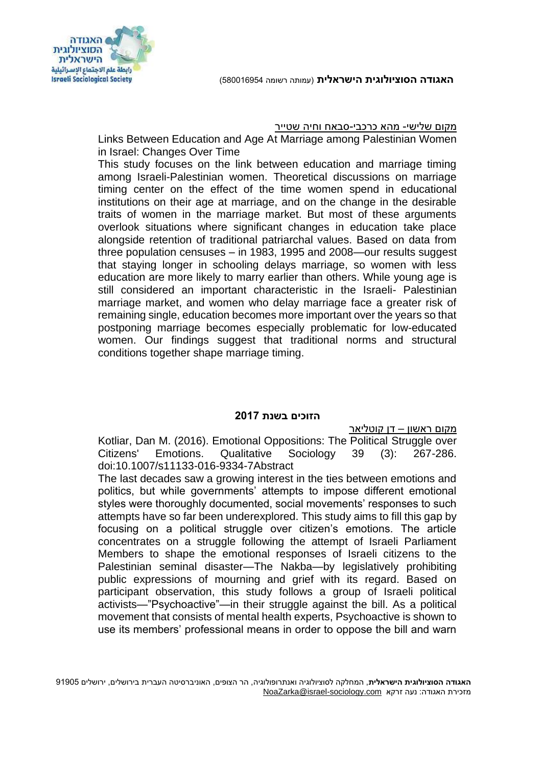

### מקום שלישי- מהא כרכבי- סבאח וחיה שטייר

Links Between Education and Age At Marriage among Palestinian Women in Israel: Changes Over Time

This study focuses on the link between education and marriage timing among Israeli-Palestinian women. Theoretical discussions on marriage timing center on the effect of the time women spend in educational institutions on their age at marriage, and on the change in the desirable traits of women in the marriage market. But most of these arguments overlook situations where significant changes in education take place alongside retention of traditional patriarchal values. Based on data from three population censuses – in 1983, 1995 and 2008—our results suggest that staying longer in schooling delays marriage, so women with less education are more likely to marry earlier than others. While young age is still considered an important characteristic in the Israeli- Palestinian marriage market, and women who delay marriage face a greater risk of remaining single, education becomes more important over the years so that postponing marriage becomes especially problematic for low-educated women. Our findings suggest that traditional norms and structural conditions together shape marriage timing.

# **הזוכים בשנת 2017**

מקום ראשון – דן קוטליאר Kotliar, Dan M. (2016). Emotional Oppositions: The Political Struggle over Citizens' Emotions. Qualitative Sociology 39 (3): 267-286. doi:10.1007/s11133-016-9334-7Abstract

The last decades saw a growing interest in the ties between emotions and politics, but while governments' attempts to impose different emotional styles were thoroughly documented, social movements' responses to such attempts have so far been underexplored. This study aims to fill this gap by focusing on a political struggle over citizen's emotions. The article concentrates on a struggle following the attempt of Israeli Parliament Members to shape the emotional responses of Israeli citizens to the Palestinian seminal disaster—The Nakba—by legislatively prohibiting public expressions of mourning and grief with its regard. Based on participant observation, this study follows a group of Israeli political activists—"Psychoactive"—in their struggle against the bill. As a political movement that consists of mental health experts, Psychoactive is shown to use its members' professional means in order to oppose the bill and warn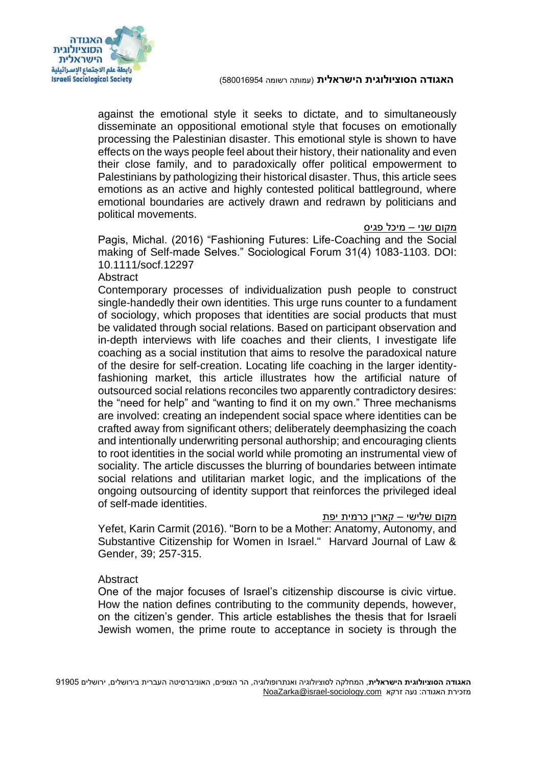

against the emotional style it seeks to dictate, and to simultaneously disseminate an oppositional emotional style that focuses on emotionally processing the Palestinian disaster. This emotional style is shown to have effects on the ways people feel about their history, their nationality and even their close family, and to paradoxically offer political empowerment to Palestinians by pathologizing their historical disaster. Thus, this article sees emotions as an active and highly contested political battleground, where emotional boundaries are actively drawn and redrawn by politicians and political movements.

מקום שני – מיכל פגיס

Pagis, Michal. (2016) "Fashioning Futures: Life-Coaching and the Social making of Self-made Selves." Sociological Forum 31(4) 1083-1103. DOI: 10.1111/socf.12297

Abstract

Contemporary processes of individualization push people to construct single-handedly their own identities. This urge runs counter to a fundament of sociology, which proposes that identities are social products that must be validated through social relations. Based on participant observation and in-depth interviews with life coaches and their clients, I investigate life coaching as a social institution that aims to resolve the paradoxical nature of the desire for self-creation. Locating life coaching in the larger identityfashioning market, this article illustrates how the artificial nature of outsourced social relations reconciles two apparently contradictory desires: the "need for help" and "wanting to find it on my own." Three mechanisms are involved: creating an independent social space where identities can be crafted away from significant others; deliberately deemphasizing the coach and intentionally underwriting personal authorship; and encouraging clients to root identities in the social world while promoting an instrumental view of sociality. The article discusses the blurring of boundaries between intimate social relations and utilitarian market logic, and the implications of the ongoing outsourcing of identity support that reinforces the privileged ideal of self-made identities.

## מקום שלישי – קארין כרמית יפת

Yefet, Karin Carmit (2016). "Born to be a Mother: Anatomy, Autonomy, and Substantive Citizenship for Women in Israel." Harvard Journal of Law & Gender, 39; 257-315 .

## Abstract

One of the major focuses of Israel's citizenship discourse is civic virtue. How the nation defines contributing to the community depends, however, on the citizen's gender. This article establishes the thesis that for Israeli Jewish women, the prime route to acceptance in society is through the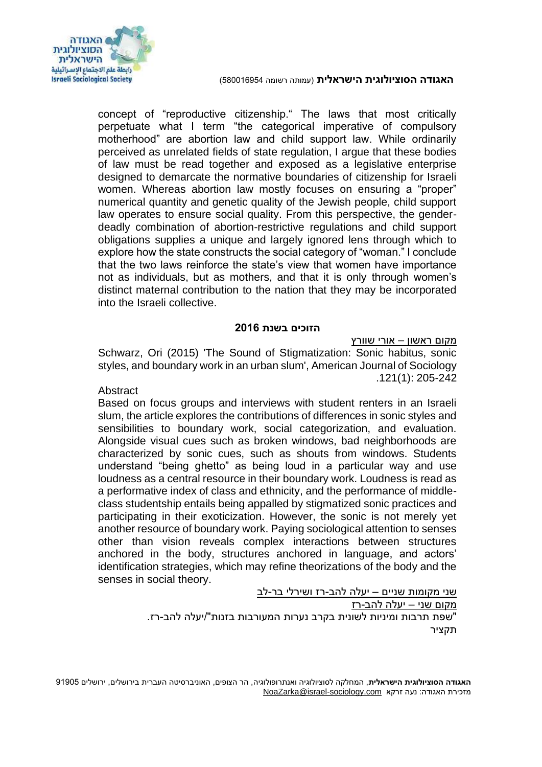

concept of "reproductive citizenship." The laws that most critically perpetuate what I term "the categorical imperative of compulsory motherhood" are abortion law and child support law. While ordinarily perceived as unrelated fields of state regulation, I argue that these bodies of law must be read together and exposed as a legislative enterprise designed to demarcate the normative boundaries of citizenship for Israeli women. Whereas abortion law mostly focuses on ensuring a "proper" numerical quantity and genetic quality of the Jewish people, child support law operates to ensure social quality. From this perspective, the genderdeadly combination of abortion-restrictive regulations and child support obligations supplies a unique and largely ignored lens through which to explore how the state constructs the social category of "woman." I conclude that the two laws reinforce the state's view that women have importance not as individuals, but as mothers, and that it is only through women's distinct maternal contribution to the nation that they may be incorporated into the Israeli collective.

### **הזוכים בשנת 2016**

מקום ראשון – אורי שוורץ

Schwarz, Ori (2015) 'The Sound of Stigmatization: Sonic habitus, sonic styles, and boundary work in an urban slum', American Journal of Sociology .121(1): 205-242

**Abstract** 

Based on focus groups and interviews with student renters in an Israeli slum, the article explores the contributions of differences in sonic styles and sensibilities to boundary work, social categorization, and evaluation. Alongside visual cues such as broken windows, bad neighborhoods are characterized by sonic cues, such as shouts from windows. Students understand "being ghetto" as being loud in a particular way and use loudness as a central resource in their boundary work. Loudness is read as a performative index of class and ethnicity, and the performance of middleclass studentship entails being appalled by stigmatized sonic practices and participating in their exoticization. However, the sonic is not merely yet another resource of boundary work. Paying sociological attention to senses other than vision reveals complex interactions between structures anchored in the body, structures anchored in language, and actors' identification strategies, which may refine theorizations of the body and the senses in social theory.

שני מקומות שניים – יעלה להב-רז ושירלי בר-לב

מקום שני – יעלה להב-רז

"שפת תרבות ומיניות לשונית בקרב נערות המעורבות בזנות"/יעלה להב -רז. תקציר

**האגודה הסוציולוגית הישראלית**, המחלקה לסוציולוגיה ואנתרופולוגיה, הר הצופים, האוניברסיטה העברית בירושלים, ירושלים 91905 מזכירת האגודה: נעה זרקא NoaZarka@israel-sociology.com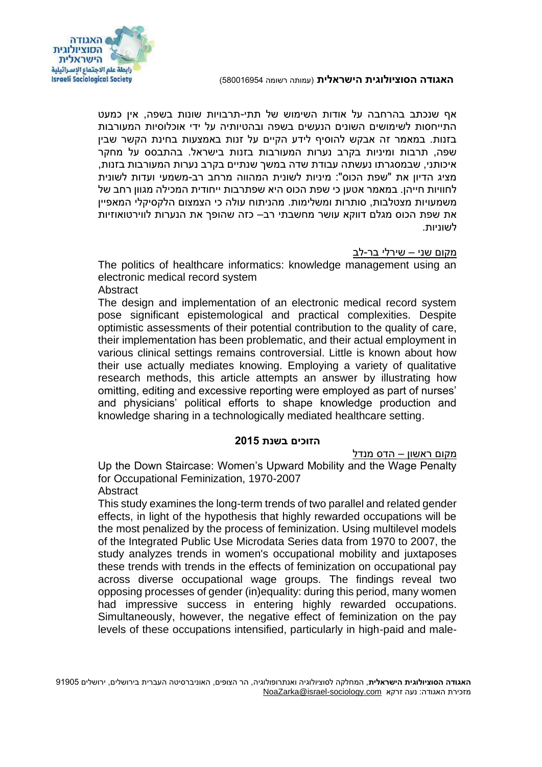

אף שנכתב בהרחבה על אודות השימוש של תתי- תרבויות שונות בשפה, אין כמעט התייחסות לשימושים השונים הנעשים בשפה ובהטיותיה על ידי אוכלוסיות המעורבות בזנות. במאמר זה אבקש להוסיף לידע הקיים על זנות באמצעות בחינת הקשר שבין שפה, תרבות ומיניות בקרב נערות המעורבות בזנות בישראל. בהתבסס על מחקר איכותני, שבמסגרתו נעשתה עבודת שדה במשך שנתיים בקרב נערות המעורבות בזנות, מציג הדיון את "שפת הכוס": מיניות לשונית המהווה מרחב רב-משמעי ועדות לשונית לחוויות חייהן. במאמר אטען כי שפת הכוס היא שפתרבות ייחודית המכילה מגוון רחב של משמעויות מצטלבות, סותרות ומשלימות. מהניתוח עולה כי הצמצום הלקסיקלי המאפיין את שפת הכוס מגלם דווקא עושר מחשבתי רב– כזה שהופך את הנערות לווירטואוזיות לשוניות.

מקום שני – שירלי בר-לב

The politics of healthcare informatics: knowledge management using an electronic medical record system

**Abstract** 

The design and implementation of an electronic medical record system pose significant epistemological and practical complexities. Despite optimistic assessments of their potential contribution to the quality of care, their implementation has been problematic, and their actual employment in various clinical settings remains controversial. Little is known about how their use actually mediates knowing. Employing a variety of qualitative research methods, this article attempts an answer by illustrating how omitting, editing and excessive reporting were employed as part of nurses' and physicians' political efforts to shape knowledge production and knowledge sharing in a technologically mediated healthcare setting .

## **הזוכים בשנת 2015**

מקום ראשון – הדס מנדל

Up the Down Staircase: Women's Upward Mobility and the Wage Penalty for Occupational Feminization, 1970-2007

Abstract

This study examines the long-term trends of two parallel and related gender effects, in light of the hypothesis that highly rewarded occupations will be the most penalized by the process of feminization. Using multilevel models of the Integrated Public Use Microdata Series data from 1970 to 2007, the study analyzes trends in women's occupational mobility and juxtaposes these trends with trends in the effects of feminization on occupational pay across diverse occupational wage groups. The findings reveal two opposing processes of gender (in)equality: during this period, many women had impressive success in entering highly rewarded occupations. Simultaneously, however, the negative effect of feminization on the pay levels of these occupations intensified, particularly in high-paid and male-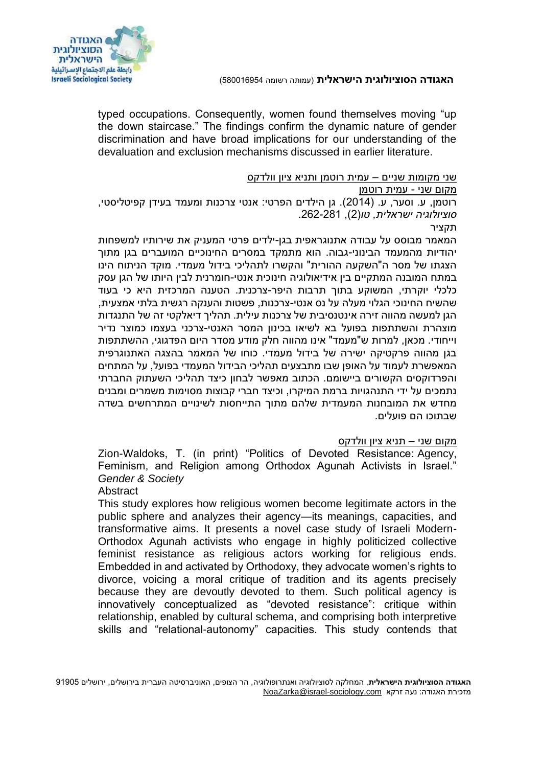

typed occupations. Consequently, women found themselves moving "up the down staircase." The findings confirm the dynamic nature of gender discrimination and have broad implications for our understanding of the devaluation and exclusion mechanisms discussed in earlier literature.

## שני מקומות שניים – עמית רוטמן ותניא ציון וולדקס

#### מקום שני - עמית רוטמן

רוטמן, ע. וסער, ע. )2014(. גן הילדים הפרטי: אנטי צרכנות ומעמד בעידן קפיטליסטי, *סוציולוגיה ישראלית, טו*)2(, .262-281

#### תקציר

המאמר מבוסס על עבודה אתנוגראפית בגן-ילדים פרטי המעניק את שירותיו למשפחות יהודיות מהמעמד הבינוני-גבוה. הוא מתמקד במסרים החינוכיים המועברים בגן מתוך הצגתו של מסר ה"השקעה ההורית" והקשרו לתהליכי בידול מעמדי. מוקד הניתוח הינו במתח המובנה המתקיים בין אידיאולוגיה חינוכית אנטי -חומרנית לבין היותו של הגן עסק כלכלי יוקרתי, המשוקע בתוך תרבות היפר-צרכנית. הטענה המרכזית היא כי בעוד שהשיח החינוכי הגלוי מעלה על נס אנטי-צרכנות, פשטות והענקה רגשית בלתי אמצעית, הגן למעשה מהווה זירה אינטנסיבית של צרכנות עילית. תהליך דיאלקטי זה של התנגדות מוצהרת והשתתפות בפועל בא לשיאו בכינון המסר האנטי-צרכני בעצמו כמוצר נדיר וייחודי. מכאן, למרות ש"מעמד" אינו מהווה חלק מודע מסדר היום הפדגוגי, ההשתתפות בגן מהווה פרקטיקה ישירה של בידול מעמדי. כוחו של המאמר בהצגה האתנוגרפית המאפשרת לעמוד על האופן שבו מתבצעים תהליכי הבידול המעמדי בפועל, על המתחים והפרדוקסים הקשורים ביישומם. הכתוב מאפשר לבחון כיצד תהליכי השעתוק החברתי נתמכים על ידי התנהגויות ברמת המיקרו, וכיצד חברי קבוצות מסוימות משמרים ומבנים מחדש את המובחנות המעמדית שלהם מתוך התייחסות לשינויים המתרחשים בשדה שבתוכו הם פועלים.

### מקום שני – תניא ציון וולדקס

Zion-Waldoks, T. (in print) "Politics of Devoted Resistance: Agency, Feminism, and Religion among Orthodox Agunah Activists in Israel." *Gender & Society*

### Abstract

This study explores how religious women become legitimate actors in the public sphere and analyzes their agency—its meanings, capacities, and transformative aims. It presents a novel case study of Israeli Modern-Orthodox Agunah activists who engage in highly politicized collective feminist resistance as religious actors working for religious ends. Embedded in and activated by Orthodoxy, they advocate women's rights to divorce, voicing a moral critique of tradition and its agents precisely because they are devoutly devoted to them. Such political agency is innovatively conceptualized as "devoted resistance": critique within relationship, enabled by cultural schema, and comprising both interpretive skills and "relational-autonomy" capacities. This study contends that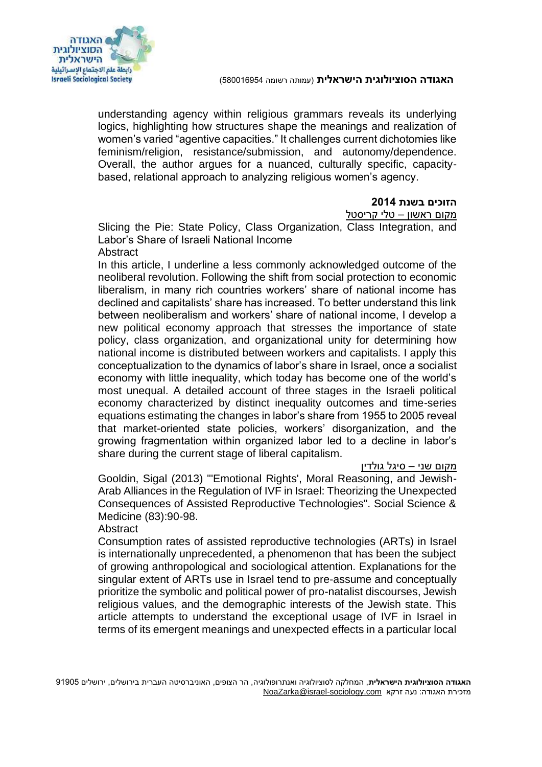

understanding agency within religious grammars reveals its underlying logics, highlighting how structures shape the meanings and realization of women's varied "agentive capacities." It challenges current dichotomies like feminism/religion, resistance/submission, and autonomy/dependence. Overall, the author argues for a nuanced, culturally specific, capacitybased, relational approach to analyzing religious women's agency.

### **הזוכים בשנת 2014**

מקום ראשון – טלי קריסטל

Slicing the Pie: State Policy, Class Organization, Class Integration, and Labor's Share of Israeli National Income Abstract

In this article, I underline a less commonly acknowledged outcome of the neoliberal revolution. Following the shift from social protection to economic liberalism, in many rich countries workers' share of national income has declined and capitalists' share has increased. To better understand this link between neoliberalism and workers' share of national income, I develop a new political economy approach that stresses the importance of state policy, class organization, and organizational unity for determining how national income is distributed between workers and capitalists. I apply this conceptualization to the dynamics of labor's share in Israel, once a socialist economy with little inequality, which today has become one of the world's most unequal. A detailed account of three stages in the Israeli political economy characterized by distinct inequality outcomes and time-series equations estimating the changes in labor's share from 1955 to 2005 reveal that market-oriented state policies, workers' disorganization, and the growing fragmentation within organized labor led to a decline in labor's share during the current stage of liberal capitalism.

מקום שני – סיגל גולדין

Gooldin, Sigal (2013) "'Emotional Rights', Moral Reasoning, and Jewish-Arab Alliances in the Regulation of IVF in Israel: Theorizing the Unexpected Consequences of Assisted Reproductive Technologies". Social Science & Medicine (83):90-98.

**Abstract** 

Consumption rates of assisted reproductive technologies (ARTs) in Israel is internationally unprecedented, a phenomenon that has been the subject of growing anthropological and sociological attention. Explanations for the singular extent of ARTs use in Israel tend to pre-assume and conceptually prioritize the symbolic and political power of pro-natalist discourses, Jewish religious values, and the demographic interests of the Jewish state. This article attempts to understand the exceptional usage of IVF in Israel in terms of its emergent meanings and unexpected effects in a particular local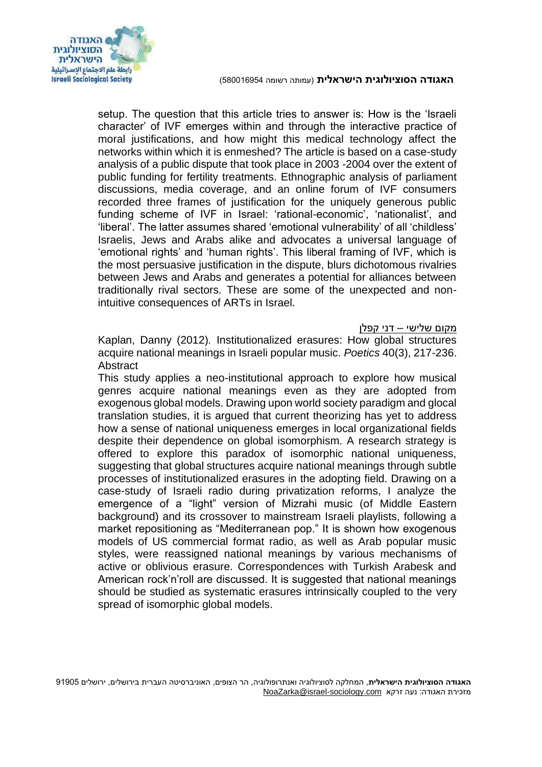

setup. The question that this article tries to answer is: How is the 'Israeli character' of IVF emerges within and through the interactive practice of moral justifications, and how might this medical technology affect the networks within which it is enmeshed? The article is based on a case-study analysis of a public dispute that took place in 2003 -2004 over the extent of public funding for fertility treatments. Ethnographic analysis of parliament discussions, media coverage, and an online forum of IVF consumers recorded three frames of justification for the uniquely generous public funding scheme of IVF in Israel: 'rational-economic', 'nationalist', and 'liberal'. The latter assumes shared 'emotional vulnerability' of all 'childless' Israelis, Jews and Arabs alike and advocates a universal language of 'emotional rights' and 'human rights'. This liberal framing of IVF, which is the most persuasive justification in the dispute, blurs dichotomous rivalries between Jews and Arabs and generates a potential for alliances between traditionally rival sectors. These are some of the unexpected and nonintuitive consequences of ARTs in Israel.

מקום שלישי – דני קפלן

Kaplan, Danny (2012)*.* Institutionalized erasures: How global structures acquire national meanings in Israeli popular music. *Poetics* 40(3), 217-236. **Abstract** 

This study applies a neo-institutional approach to explore how musical genres acquire national meanings even as they are adopted from exogenous global models. Drawing upon world society paradigm and glocal translation studies, it is argued that current theorizing has yet to address how a sense of national uniqueness emerges in local organizational fields despite their dependence on global isomorphism. A research strategy is offered to explore this paradox of isomorphic national uniqueness, suggesting that global structures acquire national meanings through subtle processes of institutionalized erasures in the adopting field. Drawing on a case-study of Israeli radio during privatization reforms, I analyze the emergence of a "light" version of Mizrahi music (of Middle Eastern background) and its crossover to mainstream Israeli playlists, following a market repositioning as "Mediterranean pop." It is shown how exogenous models of US commercial format radio, as well as Arab popular music styles, were reassigned national meanings by various mechanisms of active or oblivious erasure. Correspondences with Turkish Arabesk and American rock'n'roll are discussed. It is suggested that national meanings should be studied as systematic erasures intrinsically coupled to the very spread of isomorphic global models.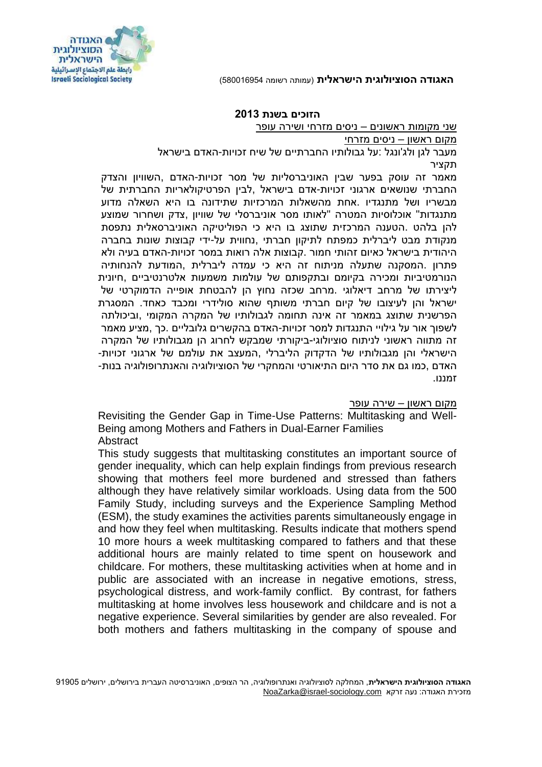

### **הזוכים בשנת 2013**

שני מקומות ראשונים – ניסים מזרחי ושירה עופר מקום ראשון – ניסים מזרחי

מעבר לגן ולג'ונגל :על גבולותיו החברתיים של שיח זכויות-האדם בישראל תקציר

מאמר זה עוסק בפער שבין האוניברסליות של מסר זכויות-האדם ,השוויון והצדק החברתי שנושאים ארגוני זכויות-אדם בישראל ,לבין הפרטיקולאריות החברתית של מבשריו ושל מתנגדיו .אחת מהשאלות המרכזיות שתידונה בו היא השאלה מדוע מתנגדות" אוכלוסיות המטרה "לאותו מסר אוניברסלי של שוויון ,צדק ושחרור שמוצע להן בלהט .הטענה המרכזית שתוצג בו היא כי הפוליטיקה האוניברסאלית נתפסת מנקודת מבט ליברלית כמפתח לתיקון חברתי ,נחווית על-ידי קבוצות שונות בחברה היהודית בישראל כאיום זהותי חמור .קבוצות אלה רואות במסר זכויות-האדם בעיה ולא פתרון .המסקנה שתעלה מניתוח זה היא כי עמדה ליברלית ,המודעת להנחותיה הנורמטיביות ומכירה בקיומם ובתקפותם של עולמות משמעות אלטרנטיביים ,חיונית ליצירתו של מרחב דיאלוגי .מרחב שכזה נחוץ הן להבטחת אופייה הדמוקרטי של ישראל והן לעיצובו של קיום חברתי משותף שהוא סולידרי ומכבד כאחד. המסגרת הפרשנית שתוצג במאמר זה אינה תחומה לגבולותיו של המקרה המקומי ,וביכולתה לשפוך אור על גילויי התנגדות למסר זכויות-האדם בהקשרים גלובליים .כך ,מציע מאמר זה מתווה ראשוני לניתוח סוציולוגי-ביקורתי שמבקש לחרוג הן מגבולותיו של המקרה הישראלי והן מגבולותיו של הדקדוק הליברלי ,המעצב את עולמם של ארגוני זכויות- האדם ,כמו גם את סדר היום התיאורטי והמחקרי של הסוציולוגיה והאנתרופולוגיה בנות- זמננו.

## מקום ראשון – שירה עופר

Revisiting the Gender Gap in Time-Use Patterns: Multitasking and Well-Being among Mothers and Fathers in Dual-Earner Families Abstract

This study suggests that multitasking constitutes an important source of gender inequality, which can help explain findings from previous research showing that mothers feel more burdened and stressed than fathers although they have relatively similar workloads. Using data from the 500 Family Study, including surveys and the Experience Sampling Method (ESM), the study examines the activities parents simultaneously engage in and how they feel when multitasking. Results indicate that mothers spend 10 more hours a week multitasking compared to fathers and that these additional hours are mainly related to time spent on housework and childcare. For mothers, these multitasking activities when at home and in public are associated with an increase in negative emotions, stress, psychological distress, and work-family conflict. By contrast, for fathers multitasking at home involves less housework and childcare and is not a negative experience. Several similarities by gender are also revealed. For both mothers and fathers multitasking in the company of spouse and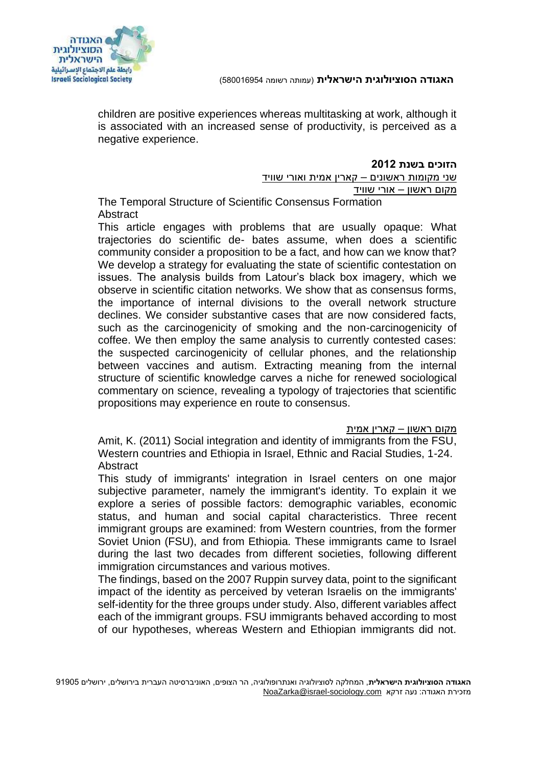

children are positive experiences whereas multitasking at work, although it is associated with an increased sense of productivity, is perceived as a negative experience.

**הזוכים בשנת 2012**

שני מקומות ראשונים – קארין אמית ואורי שוויד

מקום ראשון – אורי שוויד

The Temporal Structure of Scientific Consensus Formation **Abstract** 

This article engages with problems that are usually opaque: What trajectories do scientific de- bates assume, when does a scientific community consider a proposition to be a fact, and how can we know that? We develop a strategy for evaluating the state of scientific contestation on issues. The analysis builds from Latour's black box imagery, which we observe in scientific citation networks. We show that as consensus forms, the importance of internal divisions to the overall network structure declines. We consider substantive cases that are now considered facts, such as the carcinogenicity of smoking and the non-carcinogenicity of coffee. We then employ the same analysis to currently contested cases: the suspected carcinogenicity of cellular phones, and the relationship between vaccines and autism. Extracting meaning from the internal structure of scientific knowledge carves a niche for renewed sociological commentary on science, revealing a typology of trajectories that scientific propositions may experience en route to consensus.

מקום ראשון – קארין אמית

Amit, K. (2011) Social integration and identity of immigrants from the FSU, Western countries and Ethiopia in Israel, Ethnic and Racial Studies, 1-24. **Abstract** 

This study of immigrants' integration in Israel centers on one major subjective parameter, namely the immigrant's identity. To explain it we explore a series of possible factors: demographic variables, economic status, and human and social capital characteristics. Three recent immigrant groups are examined: from Western countries, from the former Soviet Union (FSU), and from Ethiopia. These immigrants came to Israel during the last two decades from different societies, following different immigration circumstances and various motives.

The findings, based on the 2007 Ruppin survey data, point to the significant impact of the identity as perceived by veteran Israelis on the immigrants' self-identity for the three groups under study. Also, different variables affect each of the immigrant groups. FSU immigrants behaved according to most of our hypotheses, whereas Western and Ethiopian immigrants did not.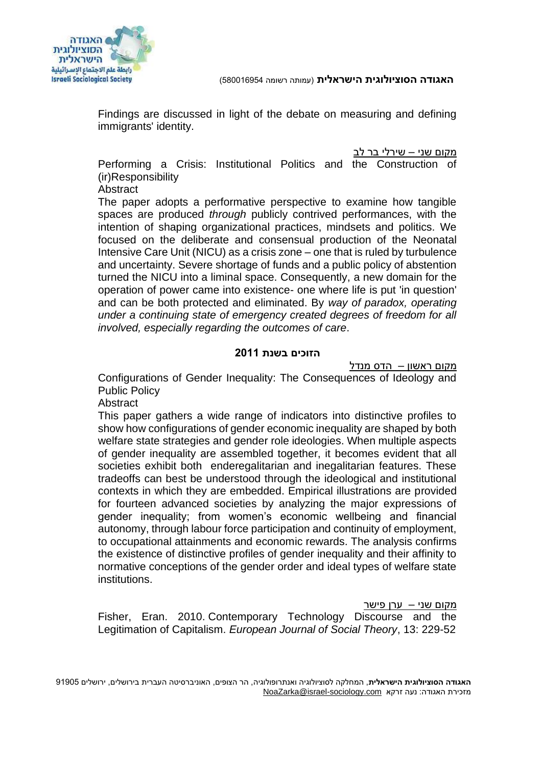

Findings are discussed in light of the debate on measuring and defining immigrants' identity.

מקום שני – שירלי בר לב

Performing a Crisis: Institutional Politics and the Construction of (ir)Responsibility

**Abstract** 

The paper adopts a performative perspective to examine how tangible spaces are produced *through* publicly contrived performances, with the intention of shaping organizational practices, mindsets and politics. We focused on the deliberate and consensual production of the Neonatal Intensive Care Unit (NICU) as a crisis zone – one that is ruled by turbulence and uncertainty. Severe shortage of funds and a public policy of abstention turned the NICU into a liminal space. Consequently, a new domain for the operation of power came into existence- one where life is put 'in question' and can be both protected and eliminated. By *way of paradox, operating under a continuing state of emergency created degrees of freedom for all involved, especially regarding the outcomes of care*.

## **הזוכים בשנת 2011**

מקום ראשון – הדס מנדל

Configurations of Gender Inequality: The Consequences of Ideology and Public Policy

Abstract

This paper gathers a wide range of indicators into distinctive profiles to show how configurations of gender economic inequality are shaped by both welfare state strategies and gender role ideologies. When multiple aspects of gender inequality are assembled together, it becomes evident that all societies exhibit both enderegalitarian and inegalitarian features. These tradeoffs can best be understood through the ideological and institutional contexts in which they are embedded. Empirical illustrations are provided for fourteen advanced societies by analyzing the major expressions of gender inequality; from women's economic wellbeing and financial autonomy, through labour force participation and continuity of employment, to occupational attainments and economic rewards. The analysis confirms the existence of distinctive profiles of gender inequality and their affinity to normative conceptions of the gender order and ideal types of welfare state institutions.

מקום שני – ערן פישר

Fisher, Eran. 2010. Contemporary Technology Discourse and the Legitimation of Capitalism. *European Journal of Social Theory*, 13: 229-52

**האגודה הסוציולוגית הישראלית**, המחלקה לסוציולוגיה ואנתרופולוגיה, הר הצופים, האוניברסיטה העברית בירושלים, ירושלים 91905 מזכירת האגודה: נעה זרקא NoaZarka@israel-sociology.com